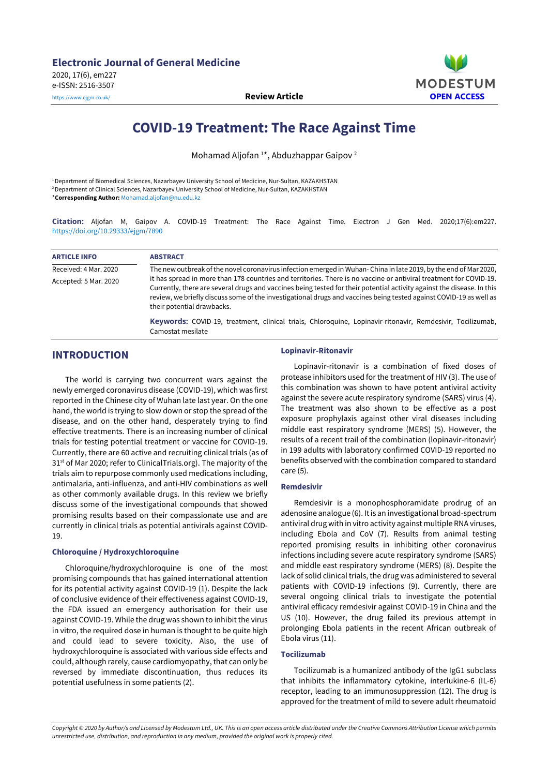

# **COVID-19 Treatment: The Race Against Time**

Mohamad Aljofan<sup>1\*</sup>, Abduzhappar Gaipov<sup>2</sup>

<sup>1</sup>Department of Biomedical Sciences, Nazarbayev University School of Medicine, Nur-Sultan, KAZAKHSTAN <sup>2</sup>Department of Clinical Sciences, Nazarbayev University School of Medicine, Nur-Sultan, KAZAKHSTAN \***Corresponding Author:** [Mohamad.aljofan@nu.edu.kz](mailto:Mohamad.aljofan@nu.edu.kz)

**Citation:** Aljofan M, Gaipov A. COVID-19 Treatment: The Race Against Time. Electron J Gen Med. 2020;17(6):em227. <https://doi.org/10.29333/ejgm/7890>

| <b>ARTICLE INFO</b>   | <b>ABSTRACT</b>                                                                                                                                                                                                                                                                                                                                                                                  |
|-----------------------|--------------------------------------------------------------------------------------------------------------------------------------------------------------------------------------------------------------------------------------------------------------------------------------------------------------------------------------------------------------------------------------------------|
| Received: 4 Mar. 2020 | The new outbreak of the novel coronavirus infection emerged in Wuhan-China in late 2019, by the end of Mar 2020,                                                                                                                                                                                                                                                                                 |
| Accepted: 5 Mar. 2020 | it has spread in more than 178 countries and territories. There is no vaccine or antiviral treatment for COVID-19.<br>Currently, there are several drugs and vaccines being tested for their potential activity against the disease. In this<br>review, we briefly discuss some of the investigational drugs and vaccines being tested against COVID-19 as well as<br>their potential drawbacks. |
|                       | Keywords: COVID-19, treatment, clinical trials, Chloroquine, Lopinavir-ritonavir, Remdesivir, Tocilizumab,<br>Camostat mesilate                                                                                                                                                                                                                                                                  |

# **INTRODUCTION**

The world is carrying two concurrent wars against the newly emerged coronavirus disease (COVID-19), which was first reported in the Chinese city of Wuhan late last year. On the one hand, the world is trying to slow down or stop the spread of the disease, and on the other hand, desperately trying to find effective treatments. There is an increasing number of clinical trials for testing potential treatment or vaccine for COVID-19. Currently, there are 60 active and recruiting clinical trials (as of 31<sup>st</sup> of Mar 2020; refer to ClinicalTrials.org). The majority of the trials aim to repurpose commonly used medications including, antimalaria, anti-influenza, and anti-HIV combinations as well as other commonly available drugs. In this review we briefly discuss some of the investigational compounds that showed promising results based on their compassionate use and are currently in clinical trials as potential antivirals against COVID-19.

#### **Chloroquine / Hydroxychloroquine**

Chloroquine/hydroxychloroquine is one of the most promising compounds that has gained international attention for its potential activity against COVID-19 (1). Despite the lack of conclusive evidence of their effectiveness against COVID-19, the FDA issued an emergency authorisation for their use against COVID-19. While the drug was shown to inhibit the virus in vitro, the required dose in human is thought to be quite high and could lead to severe toxicity. Also, the use of hydroxychloroquine is associated with various side effects and could, although rarely, cause cardiomyopathy, that can only be reversed by immediate discontinuation, thus reduces its potential usefulness in some patients (2).

#### **Lopinavir-Ritonavir**

Lopinavir-ritonavir is a combination of fixed doses of protease inhibitors used for the treatment of HIV (3). The use of this combination was shown to have potent antiviral activity against the severe acute respiratory syndrome (SARS) virus (4). The treatment was also shown to be effective as a post exposure prophylaxis against other viral diseases including middle east respiratory syndrome (MERS) (5). However, the results of a recent trail of the combination (lopinavir-ritonavir) in 199 adults with laboratory confirmed COVID-19 reported no benefits observed with the combination compared to standard care (5).

#### **Remdesivir**

Remdesivir is a monophosphoramidate prodrug of an adenosine analogue (6). It is an investigational broad-spectrum antiviral drug with in vitro activity against multiple RNA viruses, including Ebola and CoV (7). Results from animal testing reported promising results in inhibiting other coronavirus infections including severe acute respiratory syndrome (SARS) and middle east respiratory syndrome (MERS) (8). Despite the lack of solid clinical trials, the drug was administered to several patients with COVID-19 infections (9). Currently, there are several ongoing clinical trials to investigate the potential antiviral efficacy remdesivir against COVID-19 in China and the US (10). However, the drug failed its previous attempt in prolonging Ebola patients in the recent African outbreak of Ebola virus (11).

#### **Tocilizumab**

Tocilizumab is a humanized antibody of the IgG1 subclass that inhibits the inflammatory cytokine, interlukine-6 (IL-6) receptor, leading to an immunosuppression (12). The drug is approved for the treatment of mild to severe adult rheumatoid

Copyright © 2020 by Author/s and Licensed by Modestum Ltd., UK. This is an open access article distributed under the Creative Commons Attribution License which permits *unrestricted use, distribution, and reproduction in any medium, provided the original work is properly cited.*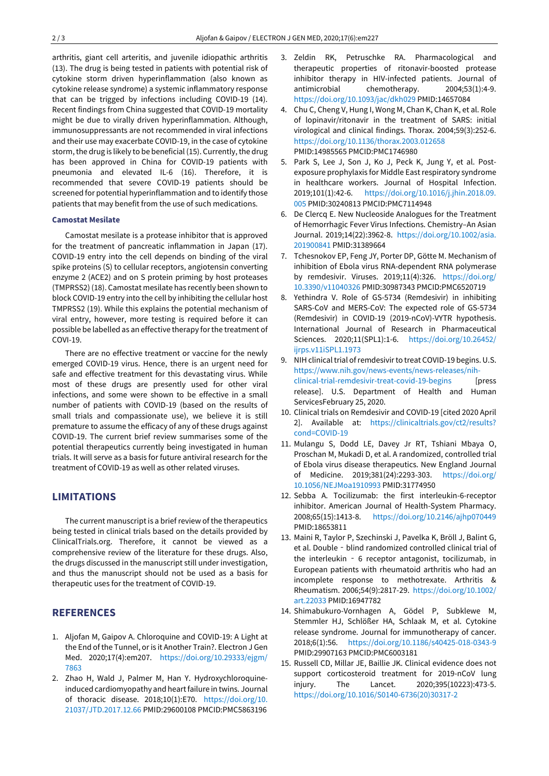arthritis, giant cell arteritis, and juvenile idiopathic arthritis (13). The drug is being tested in patients with potential risk of cytokine storm driven hyperinflammation (also known as cytokine release syndrome) a systemic inflammatory response that can be trigged by infections including COVID-19 (14). Recent findings from China suggested that COVID-19 mortality might be due to virally driven hyperinflammation. Although, immunosuppressants are not recommended in viral infections and their use may exacerbate COVID-19, in the case of cytokine storm, the drug is likely to be beneficial (15). Currently, the drug has been approved in China for COVID-19 patients with pneumonia and elevated IL-6 (16). Therefore, it is recommended that severe COVID-19 patients should be screened for potential hyperinflammation and to identify those patients that may benefit from the use of such medications.

#### **Camostat Mesilate**

Camostat mesilate is a protease inhibitor that is approved for the treatment of pancreatic inflammation in Japan (17). COVID-19 entry into the cell depends on binding of the viral spike proteins (S) to cellular receptors, angiotensin converting enzyme 2 (ACE2) and on S protein priming by host proteases (TMPRSS2) (18). Camostat mesilate has recently been shown to block COVID-19 entry into the cell by inhibiting the cellular host TMPRSS2 (19). While this explains the potential mechanism of viral entry, however, more testing is required before it can possible be labelled as an effective therapy forthe treatment of COVI-19.

There are no effective treatment or vaccine for the newly emerged COVID-19 virus. Hence, there is an urgent need for safe and effective treatment for this devastating virus. While most of these drugs are presently used for other viral infections, and some were shown to be effective in a small number of patients with COVID-19 (based on the results of small trials and compassionate use), we believe it is still premature to assume the efficacy of any of these drugs against COVID-19. The current brief review summarises some of the potential therapeutics currently being investigated in human trials. It will serve as a basis for future antiviral research for the treatment of COVID-19 as well as other related viruses.

### **LIMITATIONS**

The current manuscript is a brief review of the therapeutics being tested in clinical trials based on the details provided by ClinicalTrials.org. Therefore, it cannot be viewed as a comprehensive review of the literature for these drugs. Also, the drugs discussed in the manuscript still under investigation, and thus the manuscript should not be used as a basis for therapeutic uses for the treatment of COVID-19.

## **REFERENCES**

- 1. Aljofan M, Gaipov A. Chloroquine and COVID-19: A Light at the End of the Tunnel, or is it Another Train?. Electron J Gen Med. 2020;17(4):em207. [https://doi.org/10.29333/ejgm/](https://doi.org/10.29333/ejgm/7863) [7863](https://doi.org/10.29333/ejgm/7863)
- 2. Zhao H, Wald J, Palmer M, Han Y. Hydroxychloroquineinduced cardiomyopathy and heart failure in twins. Journal of thoracic disease. 2018;10(1):E70. [https://doi.org/10.](https://doi.org/10.21037/JTD.2017.12.66) [21037/JTD.2017.12.66](https://doi.org/10.21037/JTD.2017.12.66) PMID:29600108 PMCID:PMC5863196
- 3. Zeldin RK, Petruschke RA. Pharmacological and therapeutic properties of ritonavir-boosted protease inhibitor therapy in HIV-infected patients. Journal of antimicrobial chemotherapy. 2004;53(1):4-9. <https://doi.org/10.1093/jac/dkh029> PMID:14657084
- 4. Chu C, Cheng V, Hung I, Wong M, Chan K, Chan K, et al. Role of lopinavir/ritonavir in the treatment of SARS: initial virological and clinical findings. Thorax. 2004;59(3):252-6. <https://doi.org/10.1136/thorax.2003.012658> PMID:14985565 PMCID:PMC1746980
- 5. Park S, Lee J, Son J, Ko J, Peck K, Jung Y, et al. Postexposure prophylaxis for Middle Eastrespiratory syndrome in healthcare workers. Journal of Hospital Infection. 2019;101(1):42-6. [https://doi.org/10.1016/j.jhin.2018.09.](https://doi.org/10.1016/j.jhin.2018.09.005) [005](https://doi.org/10.1016/j.jhin.2018.09.005) PMID:30240813 PMCID:PMC7114948
- 6. De Clercq E. New Nucleoside Analogues for the Treatment of Hemorrhagic Fever Virus Infections. Chemistry–An Asian Journal. 2019;14(22):3962-8. [https://doi.org/10.1002/asia.](https://doi.org/10.1002/asia.201900841) [201900841](https://doi.org/10.1002/asia.201900841) PMID:31389664
- 7. Tchesnokov EP, Feng JY, Porter DP, Götte M. Mechanism of inhibition of Ebola virus RNA-dependent RNA polymerase by remdesivir. Viruses. 2019;11(4):326. [https://doi.org/](https://doi.org/10.3390/v11040326) [10.3390/v11040326](https://doi.org/10.3390/v11040326) PMID:30987343 PMCID:PMC6520719
- 8. Yethindra V. Role of GS-5734 (Remdesivir) in inhibiting SARS-CoV and MERS-CoV: The expected role of GS-5734 (Remdesivir) in COVID-19 (2019-nCoV)-VYTR hypothesis. International Journal of Research in Pharmaceutical Sciences. 2020;11(SPL1):1-6. [https://doi.org/10.26452/](https://doi.org/10.26452/ijrps.v11iSPL1.1973) [ijrps.v11iSPL1.1973](https://doi.org/10.26452/ijrps.v11iSPL1.1973)
- 9. NIH clinical trial of remdesivir to treat COVID-19 begins. U.S. [https://www.nih.gov/news-events/news-releases/nih](https://www.nih.gov/news-events/news-releases/nih-clinical-trial-remdesivir-treat-covid-19-begins)[clinical-trial-remdesivir-treat-covid-19-begins](https://www.nih.gov/news-events/news-releases/nih-clinical-trial-remdesivir-treat-covid-19-begins) [press release]. U.S. Department of Health and Human ServicesFebruary 25, 2020.
- 10. Clinical trials on Remdesivir and COVID-19 [cited 2020 April 2]. Available at: [https://clinicaltrials.gov/ct2/results?](https://clinicaltrials.gov/ct2/results?cond=COVID-19) [cond=COVID-19](https://clinicaltrials.gov/ct2/results?cond=COVID-19)
- 11. Mulangu S, Dodd LE, Davey Jr RT, Tshiani Mbaya O, Proschan M, Mukadi D, et al. A randomized, controlled trial of Ebola virus disease therapeutics. New England Journal of Medicine. 2019;381(24):2293-303. [https://doi.org/](https://doi.org/10.1056/NEJMoa1910993) [10.1056/NEJMoa1910993](https://doi.org/10.1056/NEJMoa1910993) PMID:31774950
- 12. Sebba A. Tocilizumab: the first interleukin-6-receptor inhibitor. American Journal of Health-System Pharmacy. 2008;65(15):1413-8. <https://doi.org/10.2146/ajhp070449> PMID:18653811
- 13. Maini R, Taylor P, Szechinski J, Pavelka K, Bröll J, Balint G, et al. Double - blind randomized controlled clinical trial of the interleukin ‐ 6 receptor antagonist, tocilizumab, in European patients with rheumatoid arthritis who had an incomplete response to methotrexate. Arthritis & Rheumatism. 2006;54(9):2817-29. [https://doi.org/10.1002/](https://doi.org/10.1002/art.22033) [art.22033](https://doi.org/10.1002/art.22033) PMID:16947782
- 14. Shimabukuro-Vornhagen A, Gödel P, Subklewe M, Stemmler HJ, Schlößer HA, Schlaak M, et al. Cytokine release syndrome. Journal for immunotherapy of cancer. 2018;6(1):56. <https://doi.org/10.1186/s40425-018-0343-9> PMID:29907163 PMCID:PMC6003181
- 15. Russell CD, Millar JE, Baillie JK. Clinical evidence does not support corticosteroid treatment for 2019-nCoV lung injury. The Lancet. 2020;395(10223):473-5. [https://doi.org/10.1016/S0140-6736\(20\)30317-2](https://doi.org/10.1016/S0140-6736(20)30317-2)